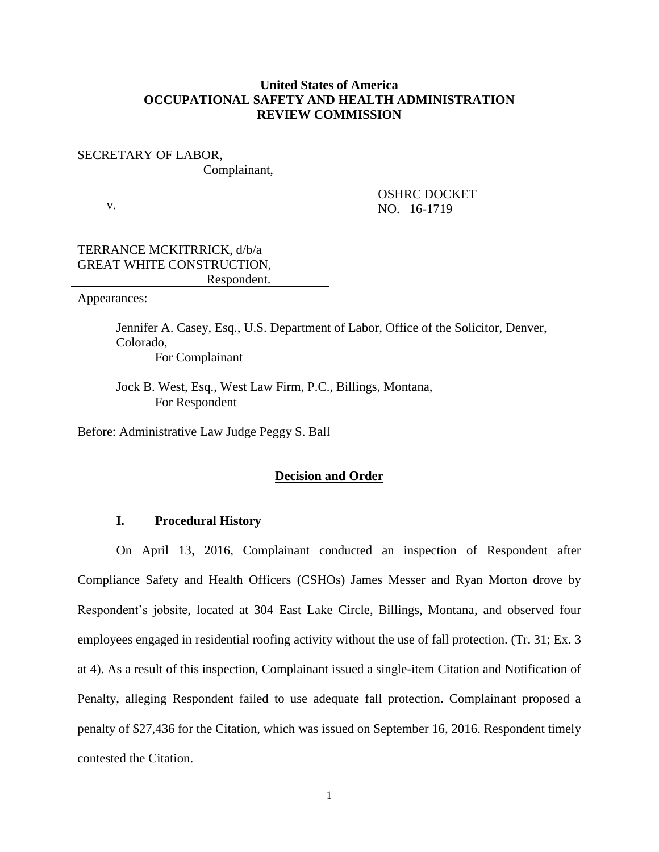## **United States of America OCCUPATIONAL SAFETY AND HEALTH ADMINISTRATION REVIEW COMMISSION**

# SECRETARY OF LABOR,

Complainant,

v.

 OSHRC DOCKET NO. 16-1719

## TERRANCE MCKITRRICK, d/b/a GREAT WHITE CONSTRUCTION, Respondent.

Appearances:

Jennifer A. Casey, Esq., U.S. Department of Labor, Office of the Solicitor, Denver, Colorado, For Complainant

Jock B. West, Esq., West Law Firm, P.C., Billings, Montana, For Respondent

Before: Administrative Law Judge Peggy S. Ball

## **Decision and Order**

## **I. Procedural History**

On April 13, 2016, Complainant conducted an inspection of Respondent after Compliance Safety and Health Officers (CSHOs) James Messer and Ryan Morton drove by Respondent's jobsite, located at 304 East Lake Circle, Billings, Montana, and observed four employees engaged in residential roofing activity without the use of fall protection. (Tr. 31; Ex. 3 at 4). As a result of this inspection, Complainant issued a single-item Citation and Notification of Penalty, alleging Respondent failed to use adequate fall protection. Complainant proposed a penalty of \$27,436 for the Citation, which was issued on September 16, 2016. Respondent timely contested the Citation.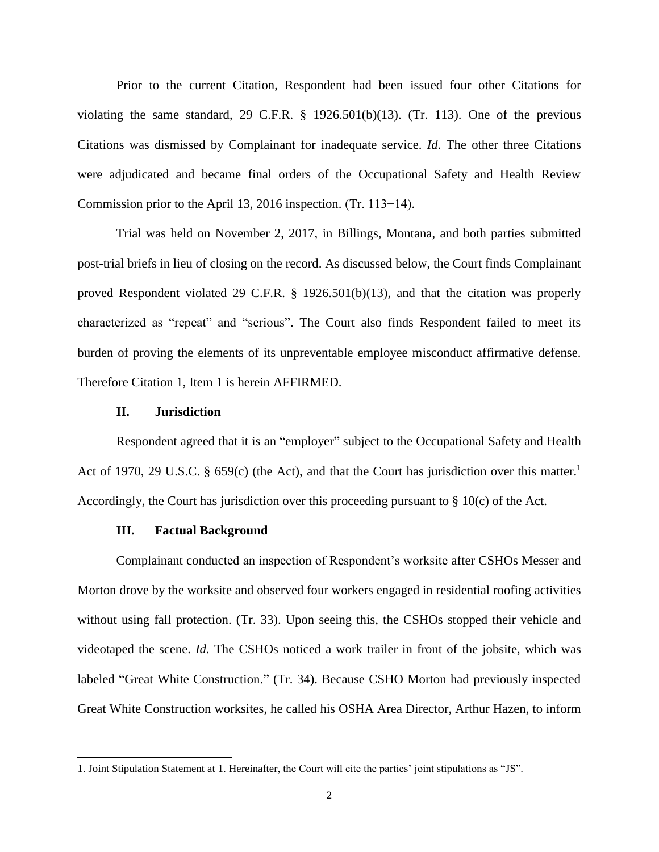Prior to the current Citation, Respondent had been issued four other Citations for violating the same standard, 29 C.F.R.  $\S$  1926.501(b)(13). (Tr. 113). One of the previous Citations was dismissed by Complainant for inadequate service. *Id*. The other three Citations were adjudicated and became final orders of the Occupational Safety and Health Review Commission prior to the April 13, 2016 inspection. (Tr. 113−14).

Trial was held on November 2, 2017, in Billings, Montana, and both parties submitted post-trial briefs in lieu of closing on the record. As discussed below, the Court finds Complainant proved Respondent violated 29 C.F.R. § 1926.501(b)(13), and that the citation was properly characterized as "repeat" and "serious". The Court also finds Respondent failed to meet its burden of proving the elements of its unpreventable employee misconduct affirmative defense. Therefore Citation 1, Item 1 is herein AFFIRMED.

### **II. Jurisdiction**

Respondent agreed that it is an "employer" subject to the Occupational Safety and Health Act of 1970, 29 U.S.C. § 659(c) (the Act), and that the Court has jurisdiction over this matter.<sup>1</sup> Accordingly, the Court has jurisdiction over this proceeding pursuant to § 10(c) of the Act.

## **III. Factual Background**

 $\overline{\phantom{a}}$ 

Complainant conducted an inspection of Respondent's worksite after CSHOs Messer and Morton drove by the worksite and observed four workers engaged in residential roofing activities without using fall protection. (Tr. 33). Upon seeing this, the CSHOs stopped their vehicle and videotaped the scene. *Id*. The CSHOs noticed a work trailer in front of the jobsite, which was labeled "Great White Construction." (Tr. 34). Because CSHO Morton had previously inspected Great White Construction worksites, he called his OSHA Area Director, Arthur Hazen, to inform

<sup>1.</sup> Joint Stipulation Statement at 1. Hereinafter, the Court will cite the parties' joint stipulations as "JS".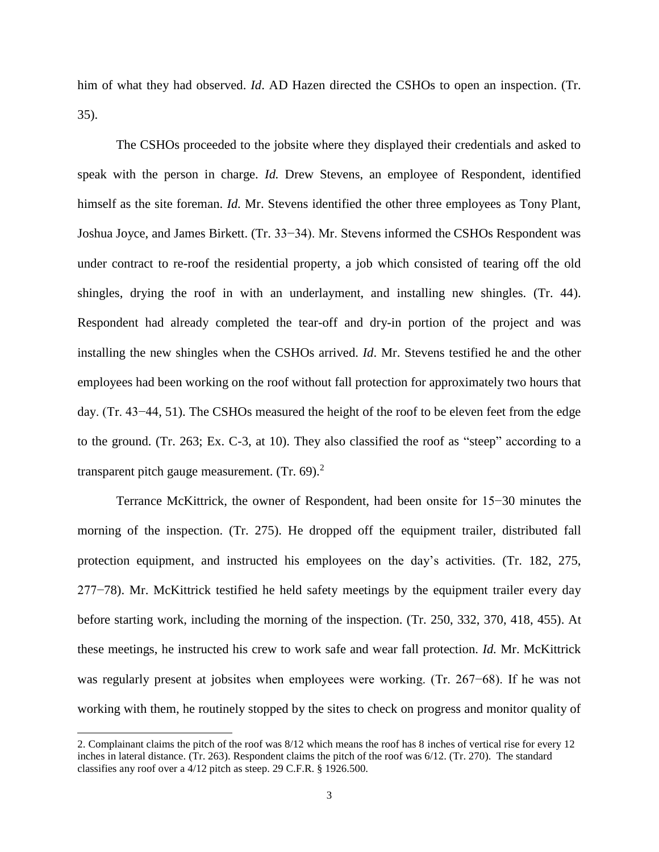him of what they had observed. *Id*. AD Hazen directed the CSHOs to open an inspection. (Tr. 35).

The CSHOs proceeded to the jobsite where they displayed their credentials and asked to speak with the person in charge. *Id.* Drew Stevens, an employee of Respondent, identified himself as the site foreman. *Id.* Mr. Stevens identified the other three employees as Tony Plant, Joshua Joyce, and James Birkett. (Tr. 33−34). Mr. Stevens informed the CSHOs Respondent was under contract to re-roof the residential property, a job which consisted of tearing off the old shingles, drying the roof in with an underlayment, and installing new shingles. (Tr. 44). Respondent had already completed the tear-off and dry-in portion of the project and was installing the new shingles when the CSHOs arrived. *Id*. Mr. Stevens testified he and the other employees had been working on the roof without fall protection for approximately two hours that day. (Tr. 43−44, 51). The CSHOs measured the height of the roof to be eleven feet from the edge to the ground. (Tr. 263; Ex. C-3, at 10). They also classified the roof as "steep" according to a transparent pitch gauge measurement. (Tr. 69).<sup>2</sup>

Terrance McKittrick, the owner of Respondent, had been onsite for 15−30 minutes the morning of the inspection. (Tr. 275). He dropped off the equipment trailer, distributed fall protection equipment, and instructed his employees on the day's activities. (Tr. 182, 275, 277−78). Mr. McKittrick testified he held safety meetings by the equipment trailer every day before starting work, including the morning of the inspection. (Tr. 250, 332, 370, 418, 455). At these meetings, he instructed his crew to work safe and wear fall protection. *Id.* Mr. McKittrick was regularly present at jobsites when employees were working. (Tr. 267−68). If he was not working with them, he routinely stopped by the sites to check on progress and monitor quality of

l

<sup>2.</sup> Complainant claims the pitch of the roof was 8/12 which means the roof has 8 inches of vertical rise for every 12 inches in lateral distance. (Tr. 263). Respondent claims the pitch of the roof was 6/12. (Tr. 270). The standard classifies any roof over a 4/12 pitch as steep. 29 C.F.R. § 1926.500.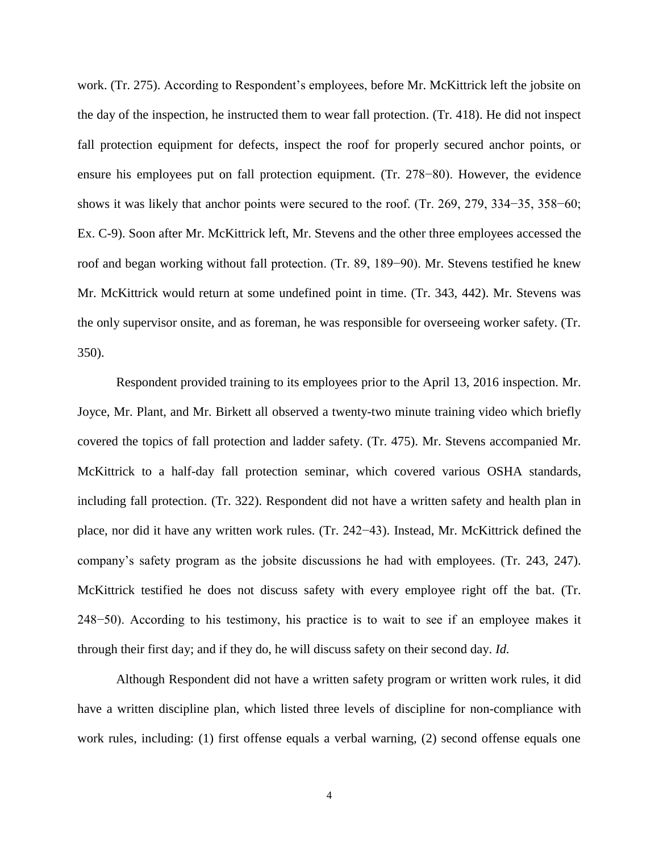work. (Tr. 275). According to Respondent's employees, before Mr. McKittrick left the jobsite on the day of the inspection, he instructed them to wear fall protection. (Tr. 418). He did not inspect fall protection equipment for defects, inspect the roof for properly secured anchor points, or ensure his employees put on fall protection equipment. (Tr. 278−80). However, the evidence shows it was likely that anchor points were secured to the roof. (Tr. 269, 279, 334−35, 358−60; Ex. C-9). Soon after Mr. McKittrick left, Mr. Stevens and the other three employees accessed the roof and began working without fall protection. (Tr. 89, 189−90). Mr. Stevens testified he knew Mr. McKittrick would return at some undefined point in time. (Tr. 343, 442). Mr. Stevens was the only supervisor onsite, and as foreman, he was responsible for overseeing worker safety. (Tr. 350).

Respondent provided training to its employees prior to the April 13, 2016 inspection. Mr. Joyce, Mr. Plant, and Mr. Birkett all observed a twenty-two minute training video which briefly covered the topics of fall protection and ladder safety. (Tr. 475). Mr. Stevens accompanied Mr. McKittrick to a half-day fall protection seminar, which covered various OSHA standards, including fall protection. (Tr. 322). Respondent did not have a written safety and health plan in place, nor did it have any written work rules. (Tr. 242−43). Instead, Mr. McKittrick defined the company's safety program as the jobsite discussions he had with employees. (Tr. 243, 247). McKittrick testified he does not discuss safety with every employee right off the bat. (Tr. 248−50). According to his testimony, his practice is to wait to see if an employee makes it through their first day; and if they do, he will discuss safety on their second day. *Id.* 

Although Respondent did not have a written safety program or written work rules, it did have a written discipline plan, which listed three levels of discipline for non-compliance with work rules, including: (1) first offense equals a verbal warning, (2) second offense equals one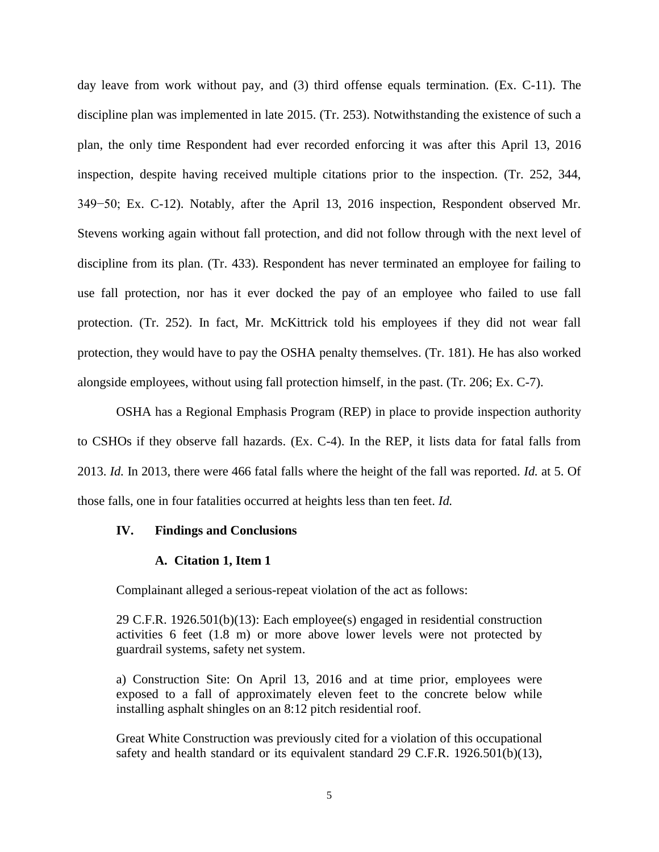day leave from work without pay, and (3) third offense equals termination. (Ex. C-11). The discipline plan was implemented in late 2015. (Tr. 253). Notwithstanding the existence of such a plan, the only time Respondent had ever recorded enforcing it was after this April 13, 2016 inspection, despite having received multiple citations prior to the inspection. (Tr. 252, 344, 349−50; Ex. C-12). Notably, after the April 13, 2016 inspection, Respondent observed Mr. Stevens working again without fall protection, and did not follow through with the next level of discipline from its plan. (Tr. 433). Respondent has never terminated an employee for failing to use fall protection, nor has it ever docked the pay of an employee who failed to use fall protection. (Tr. 252). In fact, Mr. McKittrick told his employees if they did not wear fall protection, they would have to pay the OSHA penalty themselves. (Tr. 181). He has also worked alongside employees, without using fall protection himself, in the past. (Tr. 206; Ex. C-7).

OSHA has a Regional Emphasis Program (REP) in place to provide inspection authority to CSHOs if they observe fall hazards. (Ex. C-4). In the REP, it lists data for fatal falls from 2013. *Id.* In 2013, there were 466 fatal falls where the height of the fall was reported. *Id.* at 5. Of those falls, one in four fatalities occurred at heights less than ten feet. *Id.*

## **IV. Findings and Conclusions**

#### **A. Citation 1, Item 1**

Complainant alleged a serious-repeat violation of the act as follows:

29 C.F.R. 1926.501(b)(13): Each employee(s) engaged in residential construction activities 6 feet (1.8 m) or more above lower levels were not protected by guardrail systems, safety net system.

a) Construction Site: On April 13, 2016 and at time prior, employees were exposed to a fall of approximately eleven feet to the concrete below while installing asphalt shingles on an 8:12 pitch residential roof.

Great White Construction was previously cited for a violation of this occupational safety and health standard or its equivalent standard 29 C.F.R. 1926.501(b)(13),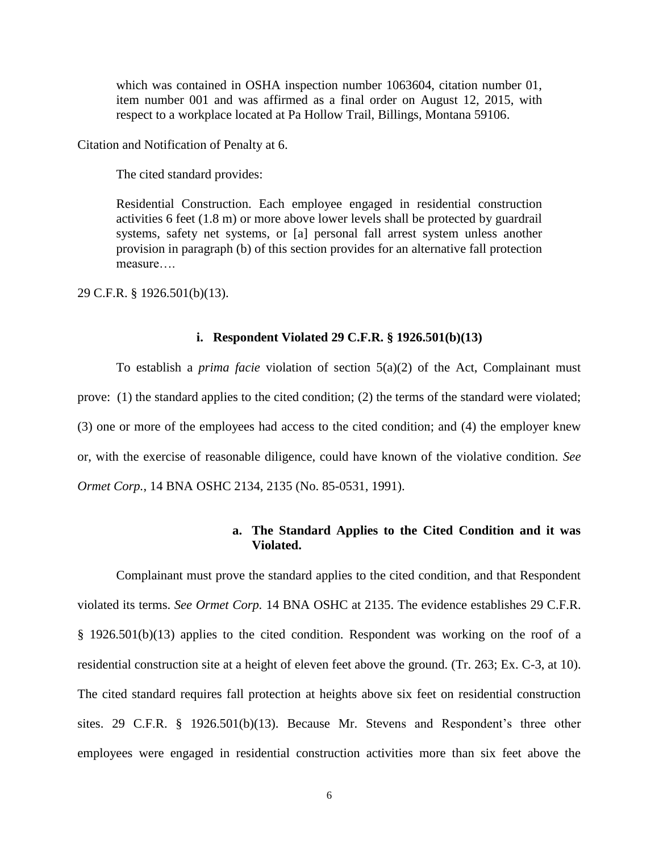which was contained in OSHA inspection number 1063604, citation number 01, item number 001 and was affirmed as a final order on August 12, 2015, with respect to a workplace located at Pa Hollow Trail, Billings, Montana 59106.

Citation and Notification of Penalty at 6.

The cited standard provides:

Residential Construction. Each employee engaged in residential construction activities 6 feet (1.8 m) or more above lower levels shall be protected by guardrail systems, safety net systems, or [a] personal fall arrest system unless another provision in paragraph (b) of this section provides for an alternative fall protection measure….

29 C.F.R. § 1926.501(b)(13).

### **i. Respondent Violated 29 C.F.R. § 1926.501(b)(13)**

To establish a *prima facie* violation of section 5(a)(2) of the Act, Complainant must prove: (1) the standard applies to the cited condition; (2) the terms of the standard were violated; (3) one or more of the employees had access to the cited condition; and (4) the employer knew or, with the exercise of reasonable diligence, could have known of the violative condition. *See Ormet Corp.*, 14 BNA OSHC 2134, 2135 (No. 85-0531, 1991).

## **a. The Standard Applies to the Cited Condition and it was Violated.**

Complainant must prove the standard applies to the cited condition, and that Respondent violated its terms. *See Ormet Corp.* 14 BNA OSHC at 2135. The evidence establishes 29 C.F.R. § 1926.501(b)(13) applies to the cited condition. Respondent was working on the roof of a residential construction site at a height of eleven feet above the ground. (Tr. 263; Ex. C-3, at 10). The cited standard requires fall protection at heights above six feet on residential construction sites. 29 C.F.R. § 1926.501(b)(13). Because Mr. Stevens and Respondent's three other employees were engaged in residential construction activities more than six feet above the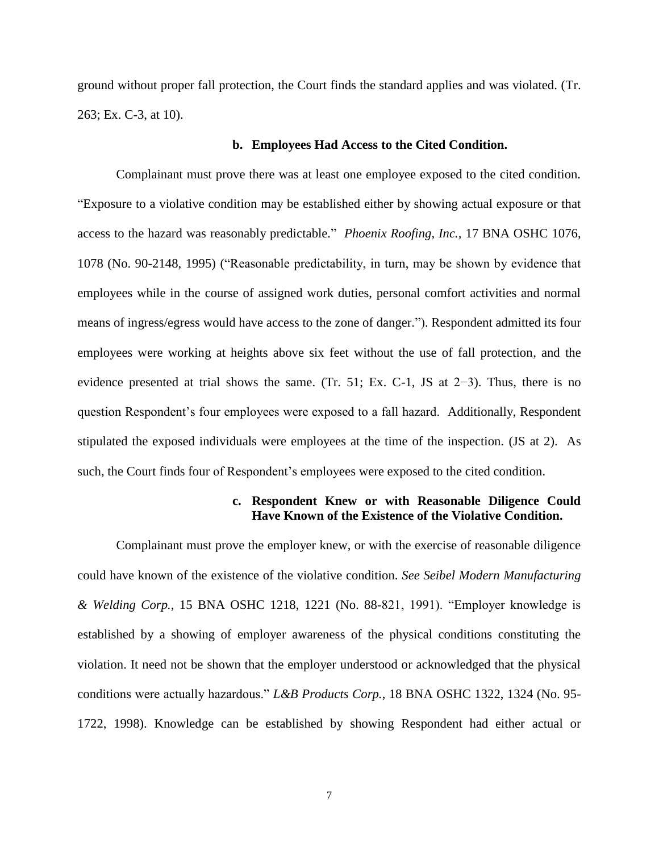ground without proper fall protection, the Court finds the standard applies and was violated. (Tr. 263; Ex. C-3, at 10).

### **b. Employees Had Access to the Cited Condition.**

Complainant must prove there was at least one employee exposed to the cited condition. "Exposure to a violative condition may be established either by showing actual exposure or that access to the hazard was reasonably predictable." *Phoenix Roofing, Inc.,* 17 BNA OSHC 1076, 1078 (No. 90-2148, 1995) ("Reasonable predictability, in turn, may be shown by evidence that employees while in the course of assigned work duties, personal comfort activities and normal means of ingress/egress would have access to the zone of danger."). Respondent admitted its four employees were working at heights above six feet without the use of fall protection, and the evidence presented at trial shows the same. (Tr. 51; Ex. C-1, JS at 2−3). Thus, there is no question Respondent's four employees were exposed to a fall hazard. Additionally, Respondent stipulated the exposed individuals were employees at the time of the inspection. (JS at 2). As such, the Court finds four of Respondent's employees were exposed to the cited condition.

## **c. Respondent Knew or with Reasonable Diligence Could Have Known of the Existence of the Violative Condition.**

Complainant must prove the employer knew, or with the exercise of reasonable diligence could have known of the existence of the violative condition. *See Seibel Modern Manufacturing & Welding Corp.*, 15 BNA OSHC 1218, 1221 (No. 88-821, 1991). "Employer knowledge is established by a showing of employer awareness of the physical conditions constituting the violation. It need not be shown that the employer understood or acknowledged that the physical conditions were actually hazardous." *L&B Products Corp.*, 18 BNA OSHC 1322, 1324 (No. 95- 1722, 1998). Knowledge can be established by showing Respondent had either actual or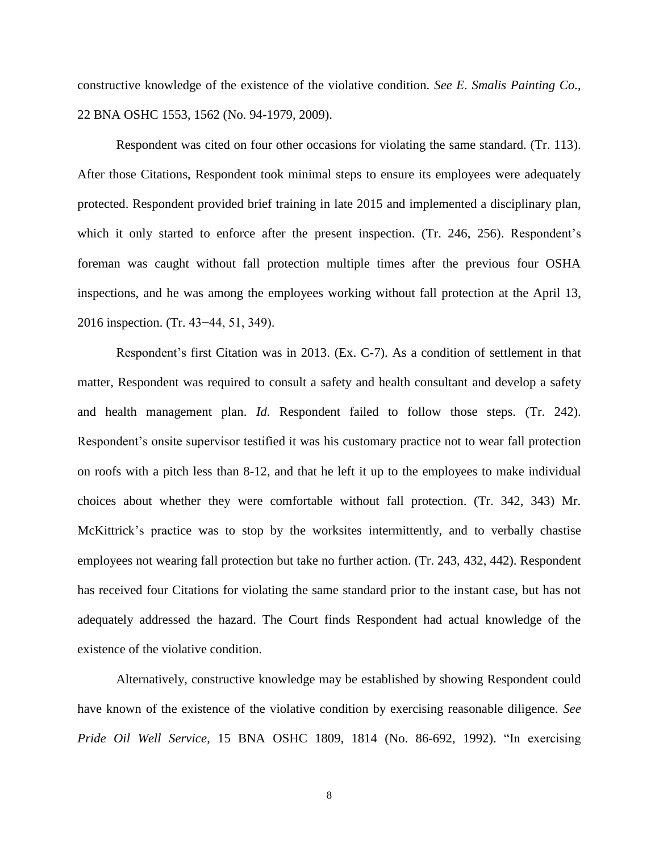constructive knowledge of the existence of the violative condition. *See E. Smalis Painting Co.*, 22 BNA OSHC 1553, 1562 (No. 94-1979, 2009).

Respondent was cited on four other occasions for violating the same standard. (Tr. 113). After those Citations, Respondent took minimal steps to ensure its employees were adequately protected. Respondent provided brief training in late 2015 and implemented a disciplinary plan, which it only started to enforce after the present inspection. (Tr. 246, 256). Respondent's foreman was caught without fall protection multiple times after the previous four OSHA inspections, and he was among the employees working without fall protection at the April 13, 2016 inspection. (Tr. 43−44, 51, 349).

Respondent's first Citation was in 2013. (Ex. C-7). As a condition of settlement in that matter, Respondent was required to consult a safety and health consultant and develop a safety and health management plan. *Id*. Respondent failed to follow those steps. (Tr. 242). Respondent's onsite supervisor testified it was his customary practice not to wear fall protection on roofs with a pitch less than 8-12, and that he left it up to the employees to make individual choices about whether they were comfortable without fall protection. (Tr. 342, 343) Mr. McKittrick's practice was to stop by the worksites intermittently, and to verbally chastise employees not wearing fall protection but take no further action. (Tr. 243, 432, 442). Respondent has received four Citations for violating the same standard prior to the instant case, but has not adequately addressed the hazard. The Court finds Respondent had actual knowledge of the existence of the violative condition.

Alternatively, constructive knowledge may be established by showing Respondent could have known of the existence of the violative condition by exercising reasonable diligence. *See Pride Oil Well Service*, 15 BNA OSHC 1809, 1814 (No. 86-692, 1992). "In exercising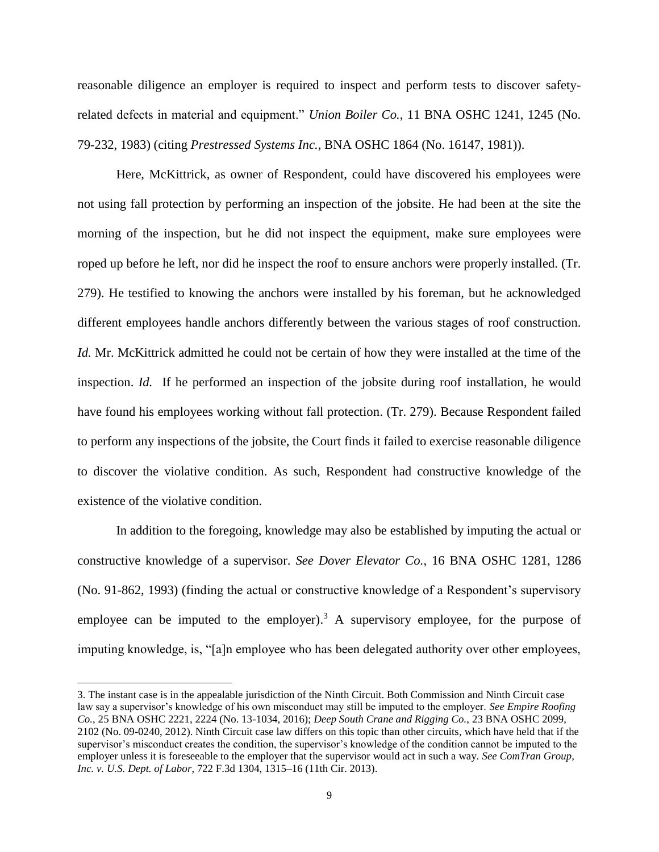reasonable diligence an employer is required to inspect and perform tests to discover safetyrelated defects in material and equipment." *Union Boiler Co.*, 11 BNA OSHC 1241, 1245 (No. 79-232, 1983) (citing *Prestressed Systems Inc.*, BNA OSHC 1864 (No. 16147, 1981)).

Here, McKittrick, as owner of Respondent, could have discovered his employees were not using fall protection by performing an inspection of the jobsite. He had been at the site the morning of the inspection, but he did not inspect the equipment, make sure employees were roped up before he left, nor did he inspect the roof to ensure anchors were properly installed. (Tr. 279). He testified to knowing the anchors were installed by his foreman, but he acknowledged different employees handle anchors differently between the various stages of roof construction. *Id.* Mr. McKittrick admitted he could not be certain of how they were installed at the time of the inspection. *Id.* If he performed an inspection of the jobsite during roof installation, he would have found his employees working without fall protection. (Tr. 279). Because Respondent failed to perform any inspections of the jobsite, the Court finds it failed to exercise reasonable diligence to discover the violative condition. As such, Respondent had constructive knowledge of the existence of the violative condition.

In addition to the foregoing, knowledge may also be established by imputing the actual or constructive knowledge of a supervisor. *See Dover Elevator Co.*, 16 BNA OSHC 1281, 1286 (No. 91-862, 1993) (finding the actual or constructive knowledge of a Respondent's supervisory employee can be imputed to the employer).<sup>3</sup> A supervisory employee, for the purpose of imputing knowledge, is, "[a]n employee who has been delegated authority over other employees,

l

<sup>3.</sup> The instant case is in the appealable jurisdiction of the Ninth Circuit. Both Commission and Ninth Circuit case law say a supervisor's knowledge of his own misconduct may still be imputed to the employer. *See Empire Roofing Co.*, 25 BNA OSHC 2221, 2224 (No. 13-1034, 2016); *Deep South Crane and Rigging Co.*, 23 BNA OSHC 2099, 2102 (No. 09-0240, 2012). Ninth Circuit case law differs on this topic than other circuits, which have held that if the supervisor's misconduct creates the condition, the supervisor's knowledge of the condition cannot be imputed to the employer unless it is foreseeable to the employer that the supervisor would act in such a way. *See ComTran Group, Inc. v. U.S. Dept. of Labor*, 722 F.3d 1304, 1315–16 (11th Cir. 2013).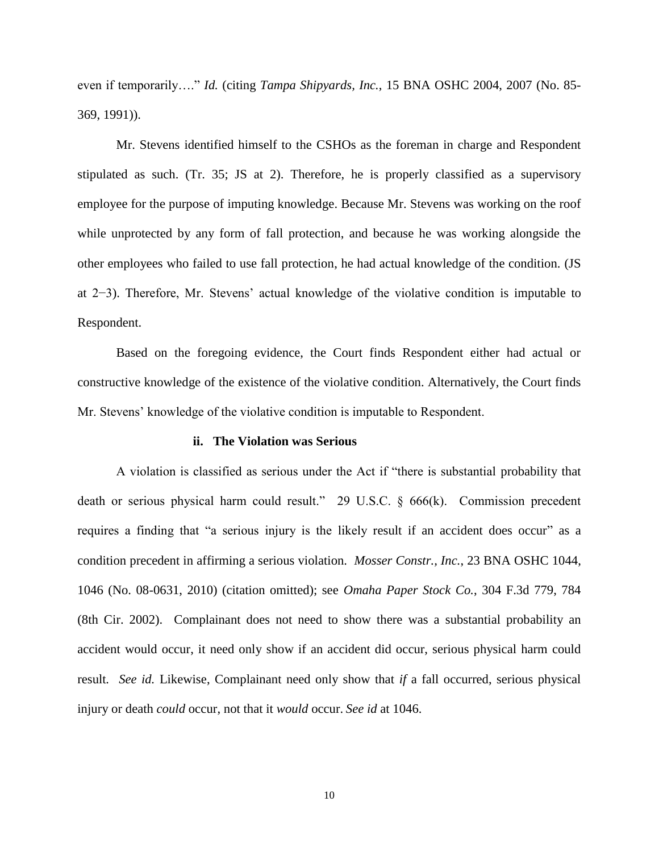even if temporarily…." *Id.* (citing *Tampa Shipyards, Inc.*, 15 BNA OSHC 2004, 2007 (No. 85- 369, 1991)).

Mr. Stevens identified himself to the CSHOs as the foreman in charge and Respondent stipulated as such. (Tr. 35; JS at 2). Therefore, he is properly classified as a supervisory employee for the purpose of imputing knowledge. Because Mr. Stevens was working on the roof while unprotected by any form of fall protection, and because he was working alongside the other employees who failed to use fall protection, he had actual knowledge of the condition. (JS at 2−3). Therefore, Mr. Stevens' actual knowledge of the violative condition is imputable to Respondent.

Based on the foregoing evidence, the Court finds Respondent either had actual or constructive knowledge of the existence of the violative condition. Alternatively, the Court finds Mr. Stevens' knowledge of the violative condition is imputable to Respondent.

#### **ii. The Violation was Serious**

A violation is classified as serious under the Act if "there is substantial probability that death or serious physical harm could result." 29 U.S.C. § 666(k). Commission precedent requires a finding that "a serious injury is the likely result if an accident does occur" as a condition precedent in affirming a serious violation. *Mosser Constr., Inc.*, 23 BNA OSHC 1044, 1046 (No. 08-0631, 2010) (citation omitted); see *Omaha Paper Stock Co.*, 304 F.3d 779, 784 (8th Cir. 2002). Complainant does not need to show there was a substantial probability an accident would occur, it need only show if an accident did occur, serious physical harm could result*. See id.* Likewise, Complainant need only show that *if* a fall occurred, serious physical injury or death *could* occur, not that it *would* occur. *See id* at 1046.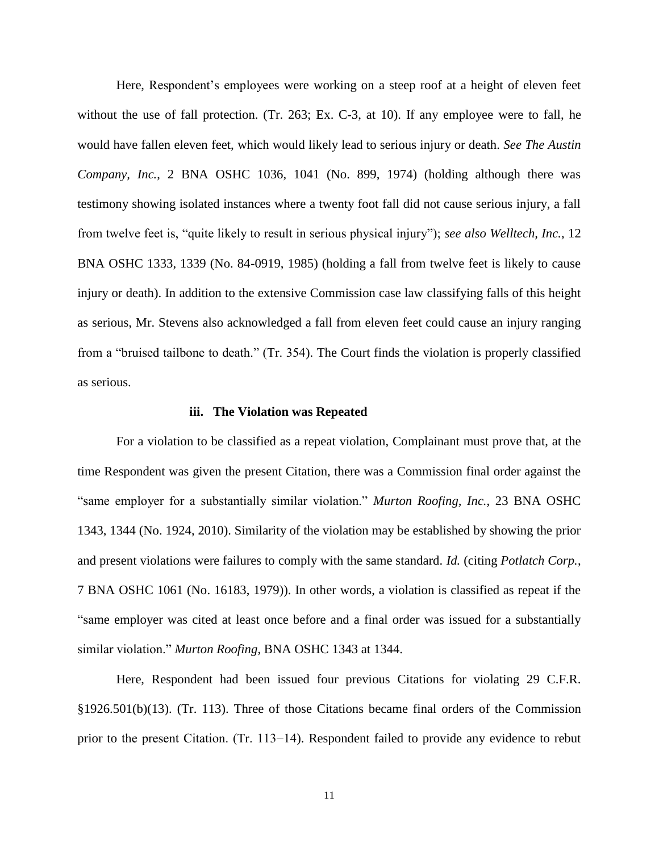Here, Respondent's employees were working on a steep roof at a height of eleven feet without the use of fall protection. (Tr. 263; Ex. C-3, at 10). If any employee were to fall, he would have fallen eleven feet, which would likely lead to serious injury or death. *See The Austin Company, Inc.*, 2 BNA OSHC 1036, 1041 (No. 899, 1974) (holding although there was testimony showing isolated instances where a twenty foot fall did not cause serious injury, a fall from twelve feet is, "quite likely to result in serious physical injury"); *see also Welltech, Inc.*, 12 BNA OSHC 1333, 1339 (No. 84-0919, 1985) (holding a fall from twelve feet is likely to cause injury or death). In addition to the extensive Commission case law classifying falls of this height as serious, Mr. Stevens also acknowledged a fall from eleven feet could cause an injury ranging from a "bruised tailbone to death." (Tr. 354). The Court finds the violation is properly classified as serious.

#### **iii. The Violation was Repeated**

For a violation to be classified as a repeat violation, Complainant must prove that, at the time Respondent was given the present Citation, there was a Commission final order against the "same employer for a substantially similar violation." *Murton Roofing, Inc.*, 23 BNA OSHC 1343, 1344 (No. 1924, 2010). Similarity of the violation may be established by showing the prior and present violations were failures to comply with the same standard. *Id.* (citing *Potlatch Corp.*, 7 BNA OSHC 1061 (No. 16183, 1979)). In other words, a violation is classified as repeat if the "same employer was cited at least once before and a final order was issued for a substantially similar violation." *Murton Roofing*, BNA OSHC 1343 at 1344.

Here, Respondent had been issued four previous Citations for violating 29 C.F.R. §1926.501(b)(13). (Tr. 113). Three of those Citations became final orders of the Commission prior to the present Citation. (Tr. 113−14). Respondent failed to provide any evidence to rebut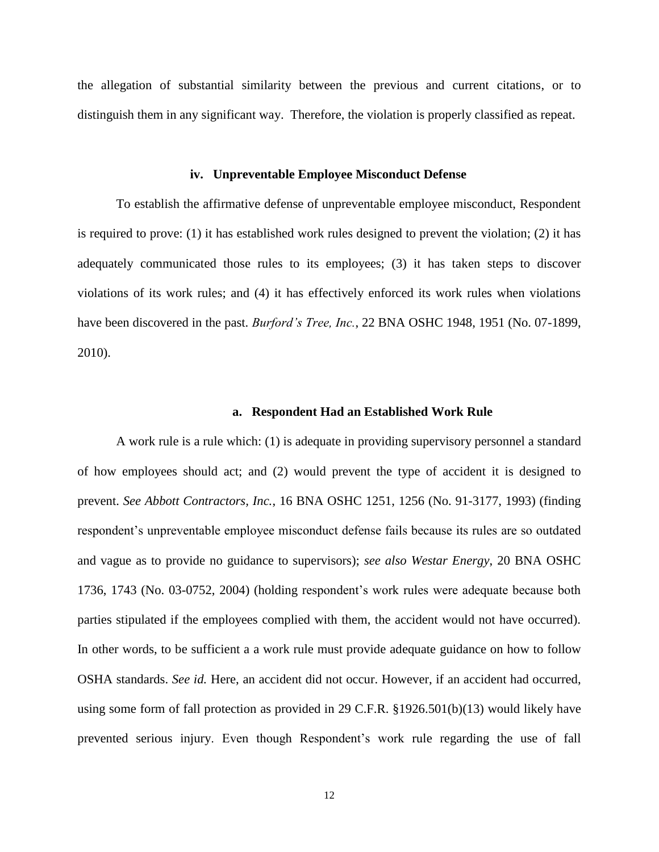the allegation of substantial similarity between the previous and current citations, or to distinguish them in any significant way. Therefore, the violation is properly classified as repeat.

### **iv. Unpreventable Employee Misconduct Defense**

To establish the affirmative defense of unpreventable employee misconduct, Respondent is required to prove: (1) it has established work rules designed to prevent the violation; (2) it has adequately communicated those rules to its employees; (3) it has taken steps to discover violations of its work rules; and (4) it has effectively enforced its work rules when violations have been discovered in the past. *Burford's Tree, Inc.*, 22 BNA OSHC 1948, 1951 (No. 07-1899, 2010).

#### **a. Respondent Had an Established Work Rule**

A work rule is a rule which: (1) is adequate in providing supervisory personnel a standard of how employees should act; and (2) would prevent the type of accident it is designed to prevent. *See Abbott Contractors, Inc.*, 16 BNA OSHC 1251, 1256 (No. 91-3177, 1993) (finding respondent's unpreventable employee misconduct defense fails because its rules are so outdated and vague as to provide no guidance to supervisors); *see also Westar Energy*, 20 BNA OSHC 1736, 1743 (No. 03-0752, 2004) (holding respondent's work rules were adequate because both parties stipulated if the employees complied with them, the accident would not have occurred). In other words, to be sufficient a a work rule must provide adequate guidance on how to follow OSHA standards. *See id.* Here, an accident did not occur. However, if an accident had occurred, using some form of fall protection as provided in 29 C.F.R. §1926.501(b)(13) would likely have prevented serious injury. Even though Respondent's work rule regarding the use of fall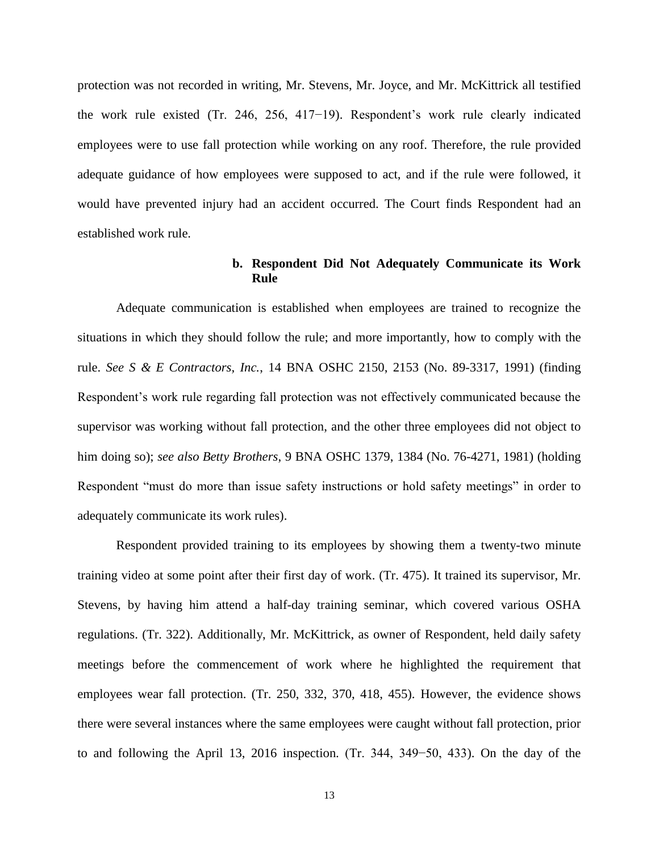protection was not recorded in writing, Mr. Stevens, Mr. Joyce, and Mr. McKittrick all testified the work rule existed (Tr. 246, 256, 417−19). Respondent's work rule clearly indicated employees were to use fall protection while working on any roof. Therefore, the rule provided adequate guidance of how employees were supposed to act, and if the rule were followed, it would have prevented injury had an accident occurred. The Court finds Respondent had an established work rule.

## **b. Respondent Did Not Adequately Communicate its Work Rule**

Adequate communication is established when employees are trained to recognize the situations in which they should follow the rule; and more importantly, how to comply with the rule. *See S & E Contractors, Inc.*, 14 BNA OSHC 2150, 2153 (No. 89-3317, 1991) (finding Respondent's work rule regarding fall protection was not effectively communicated because the supervisor was working without fall protection, and the other three employees did not object to him doing so); *see also Betty Brothers*, 9 BNA OSHC 1379, 1384 (No. 76-4271, 1981) (holding Respondent "must do more than issue safety instructions or hold safety meetings" in order to adequately communicate its work rules).

Respondent provided training to its employees by showing them a twenty-two minute training video at some point after their first day of work. (Tr. 475). It trained its supervisor, Mr. Stevens, by having him attend a half-day training seminar, which covered various OSHA regulations. (Tr. 322). Additionally, Mr. McKittrick, as owner of Respondent, held daily safety meetings before the commencement of work where he highlighted the requirement that employees wear fall protection. (Tr. 250, 332, 370, 418, 455). However, the evidence shows there were several instances where the same employees were caught without fall protection, prior to and following the April 13, 2016 inspection. (Tr. 344, 349−50, 433). On the day of the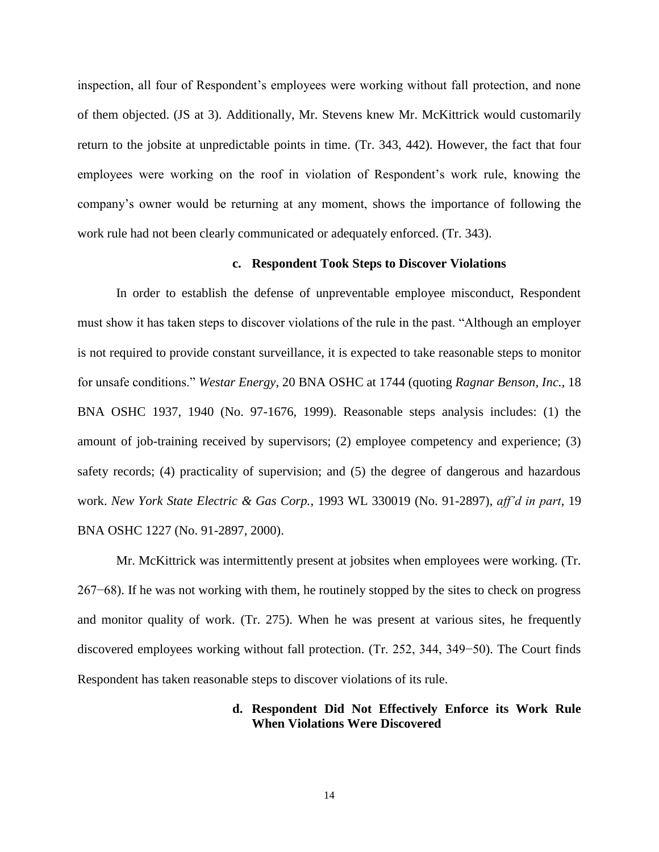inspection, all four of Respondent's employees were working without fall protection, and none of them objected. (JS at 3). Additionally, Mr. Stevens knew Mr. McKittrick would customarily return to the jobsite at unpredictable points in time. (Tr. 343, 442). However, the fact that four employees were working on the roof in violation of Respondent's work rule, knowing the company's owner would be returning at any moment, shows the importance of following the work rule had not been clearly communicated or adequately enforced. (Tr. 343).

## **c. Respondent Took Steps to Discover Violations**

In order to establish the defense of unpreventable employee misconduct, Respondent must show it has taken steps to discover violations of the rule in the past. "Although an employer is not required to provide constant surveillance, it is expected to take reasonable steps to monitor for unsafe conditions." *Westar Energy*, 20 BNA OSHC at 1744 (quoting *Ragnar Benson, Inc.*, 18 BNA OSHC 1937, 1940 (No. 97-1676, 1999). Reasonable steps analysis includes: (1) the amount of job-training received by supervisors; (2) employee competency and experience; (3) safety records; (4) practicality of supervision; and (5) the degree of dangerous and hazardous work. *New York State Electric & Gas Corp.*, 1993 WL 330019 (No. 91-2897), *aff'd in part*, 19 BNA OSHC 1227 (No. 91-2897, 2000).

Mr. McKittrick was intermittently present at jobsites when employees were working. (Tr. 267−68). If he was not working with them, he routinely stopped by the sites to check on progress and monitor quality of work. (Tr. 275). When he was present at various sites, he frequently discovered employees working without fall protection. (Tr. 252, 344, 349−50). The Court finds Respondent has taken reasonable steps to discover violations of its rule.

## **d. Respondent Did Not Effectively Enforce its Work Rule When Violations Were Discovered**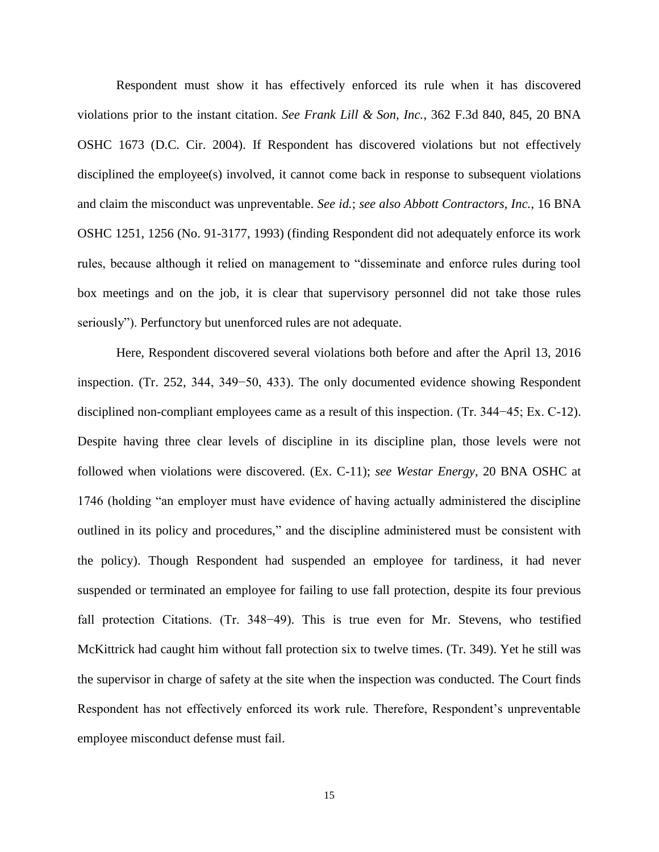Respondent must show it has effectively enforced its rule when it has discovered violations prior to the instant citation. *See Frank Lill & Son, Inc.*, 362 F.3d 840, 845, 20 BNA OSHC 1673 (D.C. Cir. 2004). If Respondent has discovered violations but not effectively disciplined the employee(s) involved, it cannot come back in response to subsequent violations and claim the misconduct was unpreventable. *See id.*; *see also Abbott Contractors, Inc.*, 16 BNA OSHC 1251, 1256 (No. 91-3177, 1993) (finding Respondent did not adequately enforce its work rules, because although it relied on management to "disseminate and enforce rules during tool box meetings and on the job, it is clear that supervisory personnel did not take those rules seriously"). Perfunctory but unenforced rules are not adequate.

Here, Respondent discovered several violations both before and after the April 13, 2016 inspection. (Tr. 252, 344, 349−50, 433). The only documented evidence showing Respondent disciplined non-compliant employees came as a result of this inspection. (Tr. 344−45; Ex. C-12). Despite having three clear levels of discipline in its discipline plan, those levels were not followed when violations were discovered. (Ex. C-11); *see Westar Energy*, 20 BNA OSHC at 1746 (holding "an employer must have evidence of having actually administered the discipline outlined in its policy and procedures," and the discipline administered must be consistent with the policy). Though Respondent had suspended an employee for tardiness, it had never suspended or terminated an employee for failing to use fall protection, despite its four previous fall protection Citations. (Tr. 348−49). This is true even for Mr. Stevens, who testified McKittrick had caught him without fall protection six to twelve times. (Tr. 349). Yet he still was the supervisor in charge of safety at the site when the inspection was conducted. The Court finds Respondent has not effectively enforced its work rule. Therefore, Respondent's unpreventable employee misconduct defense must fail.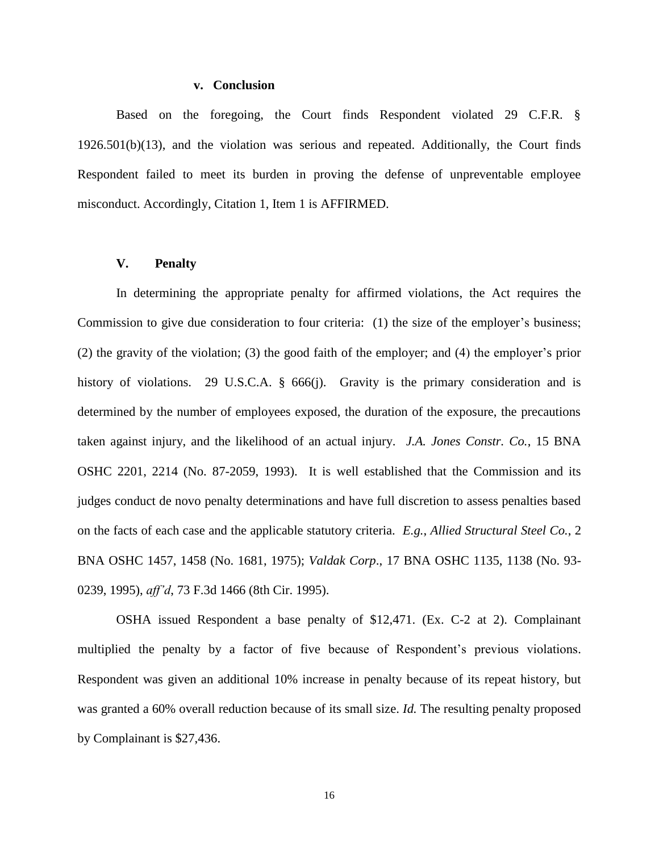### **v. Conclusion**

Based on the foregoing, the Court finds Respondent violated 29 C.F.R. § 1926.501(b)(13), and the violation was serious and repeated. Additionally, the Court finds Respondent failed to meet its burden in proving the defense of unpreventable employee misconduct. Accordingly, Citation 1, Item 1 is AFFIRMED.

## **V. Penalty**

In determining the appropriate penalty for affirmed violations, the Act requires the Commission to give due consideration to four criteria: (1) the size of the employer's business; (2) the gravity of the violation; (3) the good faith of the employer; and (4) the employer's prior history of violations. 29 U.S.C.A. § 666(j). Gravity is the primary consideration and is determined by the number of employees exposed, the duration of the exposure, the precautions taken against injury, and the likelihood of an actual injury. *J.A. Jones Constr. Co.*, 15 BNA OSHC 2201, 2214 (No. 87-2059, 1993). It is well established that the Commission and its judges conduct de novo penalty determinations and have full discretion to assess penalties based on the facts of each case and the applicable statutory criteria. *E.g.*, *Allied Structural Steel Co.*, 2 BNA OSHC 1457, 1458 (No. 1681, 1975); *Valdak Corp*., 17 BNA OSHC 1135, 1138 (No. 93- 0239, 1995), *aff'd*, 73 F.3d 1466 (8th Cir. 1995).

OSHA issued Respondent a base penalty of \$12,471. (Ex. C-2 at 2). Complainant multiplied the penalty by a factor of five because of Respondent's previous violations. Respondent was given an additional 10% increase in penalty because of its repeat history, but was granted a 60% overall reduction because of its small size. *Id.* The resulting penalty proposed by Complainant is \$27,436.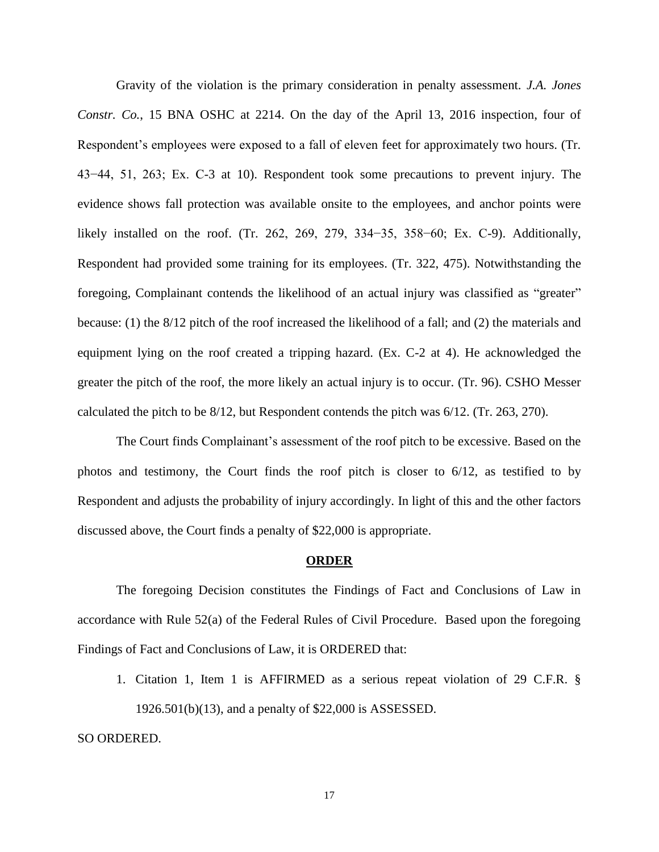Gravity of the violation is the primary consideration in penalty assessment. *J.A. Jones Constr. Co.*, 15 BNA OSHC at 2214. On the day of the April 13, 2016 inspection, four of Respondent's employees were exposed to a fall of eleven feet for approximately two hours. (Tr. 43−44, 51, 263; Ex. C-3 at 10). Respondent took some precautions to prevent injury. The evidence shows fall protection was available onsite to the employees, and anchor points were likely installed on the roof. (Tr. 262, 269, 279, 334−35, 358−60; Ex. C-9). Additionally, Respondent had provided some training for its employees. (Tr. 322, 475). Notwithstanding the foregoing, Complainant contends the likelihood of an actual injury was classified as "greater" because: (1) the 8/12 pitch of the roof increased the likelihood of a fall; and (2) the materials and equipment lying on the roof created a tripping hazard. (Ex. C-2 at 4). He acknowledged the greater the pitch of the roof, the more likely an actual injury is to occur. (Tr. 96). CSHO Messer calculated the pitch to be 8/12, but Respondent contends the pitch was 6/12. (Tr. 263, 270).

The Court finds Complainant's assessment of the roof pitch to be excessive. Based on the photos and testimony, the Court finds the roof pitch is closer to 6/12, as testified to by Respondent and adjusts the probability of injury accordingly. In light of this and the other factors discussed above, the Court finds a penalty of \$22,000 is appropriate.

#### **ORDER**

The foregoing Decision constitutes the Findings of Fact and Conclusions of Law in accordance with Rule 52(a) of the Federal Rules of Civil Procedure. Based upon the foregoing Findings of Fact and Conclusions of Law, it is ORDERED that:

1. Citation 1, Item 1 is AFFIRMED as a serious repeat violation of 29 C.F.R. § 1926.501(b)(13), and a penalty of \$22,000 is ASSESSED.

SO ORDERED.